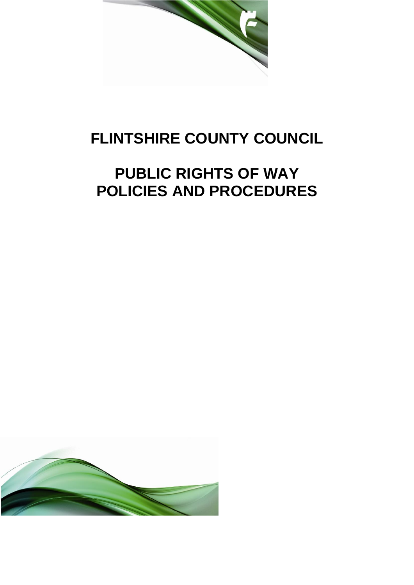

# **FLINTSHIRE COUNTY COUNCIL**

# **PUBLIC RIGHTS OF WAY POLICIES AND PROCEDURES**

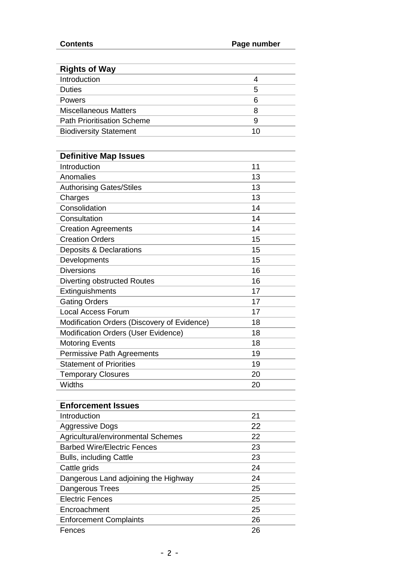| <b>Contents</b>                             | Page number |
|---------------------------------------------|-------------|
|                                             |             |
| <b>Rights of Way</b>                        |             |
| Introduction                                | 4           |
| <b>Duties</b>                               | 5           |
| Powers                                      | 6           |
| <b>Miscellaneous Matters</b>                | 8           |
| <b>Path Prioritisation Scheme</b>           | 9           |
| <b>Biodiversity Statement</b>               | 10          |
|                                             |             |
| <b>Definitive Map Issues</b>                |             |
| Introduction                                | 11          |
| Anomalies                                   | 13          |
| <b>Authorising Gates/Stiles</b>             | 13          |
| Charges                                     | 13          |
| Consolidation                               | 14          |
| Consultation                                | 14          |
| <b>Creation Agreements</b>                  | 14          |
| <b>Creation Orders</b>                      | 15          |
| Deposits & Declarations                     | 15          |
| Developments                                | 15          |
| <b>Diversions</b>                           | 16          |
| Diverting obstructed Routes                 | 16          |
| Extinguishments                             | 17          |
| <b>Gating Orders</b>                        | 17          |
| <b>Local Access Forum</b>                   | 17          |
| Modification Orders (Discovery of Evidence) | 18          |
| Modification Orders (User Evidence)         | 18          |
| <b>Motoring Events</b>                      | 18          |
| Permissive Path Agreements                  | 19          |
| <b>Statement of Priorities</b>              | 19          |
| <b>Temporary Closures</b>                   | 20          |
| <b>Widths</b>                               | 20          |
|                                             |             |
| <b>Enforcement Issues</b>                   |             |
| Introduction                                | 21          |
| <b>Aggressive Dogs</b>                      | 22          |
| Agricultural/environmental Schemes          | 22          |
| <b>Barbed Wire/Electric Fences</b>          | 23          |
| Bulls, including Cattle                     | 23          |
| Cattle grids                                | 24          |
| Dangerous Land adjoining the Highway        | 24          |
| Dangerous Trees                             | 25          |
| <b>Electric Fences</b>                      | 25          |
| Encroachment                                | 25          |
| <b>Enforcement Complaints</b>               | 26          |
| Fences                                      | 26          |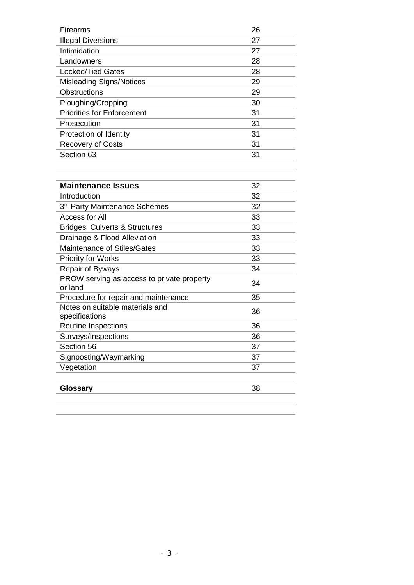<span id="page-2-0"></span>

| <b>Firearms</b>                   | 26 |
|-----------------------------------|----|
| <b>Illegal Diversions</b>         | 27 |
| Intimidation                      | 27 |
| Landowners                        | 28 |
| <b>Locked/Tied Gates</b>          | 28 |
| <b>Misleading Signs/Notices</b>   | 29 |
| <b>Obstructions</b>               | 29 |
| Ploughing/Cropping                | 30 |
| <b>Priorities for Enforcement</b> | 31 |
| Prosecution                       | 31 |
| Protection of Identity            | 31 |
| <b>Recovery of Costs</b>          | 31 |
| Section 63                        | 31 |

| <b>Maintenance Issues</b>                             | 32 |
|-------------------------------------------------------|----|
| Introduction                                          | 32 |
| 3rd Party Maintenance Schemes                         | 32 |
| Access for All                                        | 33 |
| <b>Bridges, Culverts &amp; Structures</b>             | 33 |
| Drainage & Flood Alleviation                          | 33 |
| <b>Maintenance of Stiles/Gates</b>                    | 33 |
| <b>Priority for Works</b>                             | 33 |
| Repair of Byways                                      | 34 |
| PROW serving as access to private property<br>or land | 34 |
| Procedure for repair and maintenance                  | 35 |
| Notes on suitable materials and<br>specifications     | 36 |
| Routine Inspections                                   | 36 |
| Surveys/Inspections                                   | 36 |
| Section 56                                            | 37 |
| Signposting/Waymarking                                | 37 |
| Vegetation                                            | 37 |
|                                                       |    |
| <b>Glossary</b>                                       | 38 |
|                                                       |    |
|                                                       |    |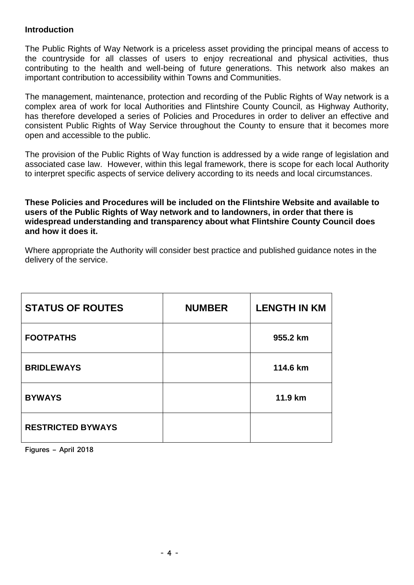#### **Introduction**

 The Public Rights of Way Network is a priceless asset providing the principal means of access to the countryside for all classes of users to enjoy recreational and physical activities, thus contributing to the health and well-being of future generations. This network also makes an important contribution to accessibility within Towns and Communities.

 The management, maintenance, protection and recording of the Public Rights of Way network is a complex area of work for local Authorities and Flintshire County Council, as Highway Authority, has therefore developed a series of Policies and Procedures in order to deliver an effective and consistent Public Rights of Way Service throughout the County to ensure that it becomes more open and accessible to the public.

 The provision of the Public Rights of Way function is addressed by a wide range of legislation and associated case law. However, within this legal framework, there is scope for each local Authority to interpret specific aspects of service delivery according to its needs and local circumstances.

 **These Policies and Procedures will be included on the Flintshire Website and available to users of the Public Rights of Way network and to landowners, in order that there is widespread understanding and transparency about what Flintshire County Council does and how it does it.** 

 Where appropriate the Authority will consider best practice and published guidance notes in the delivery of the service.

| <b>STATUS OF ROUTES</b>  | <b>NUMBER</b> | <b>LENGTH IN KM</b> |
|--------------------------|---------------|---------------------|
| <b>FOOTPATHS</b>         |               | 955.2 km            |
| <b>BRIDLEWAYS</b>        |               | 114.6 km            |
| <b>BYWAYS</b>            |               | 11.9 km             |
| <b>RESTRICTED BYWAYS</b> |               |                     |

 **Figures – April 2018**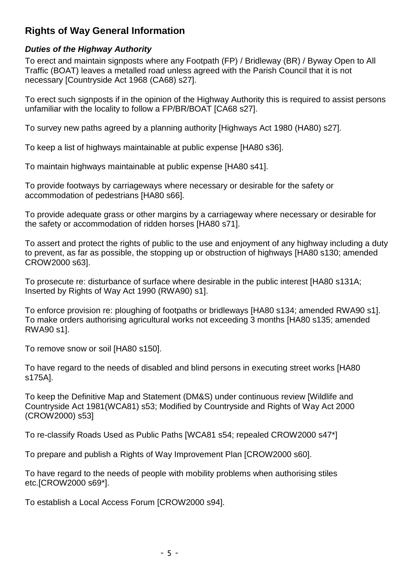# **Rights of Way General Information**

### *Duties of the Highway Authority*

 To erect and maintain signposts where any Footpath (FP) / Bridleway (BR) / Byway Open to All necessary [Countryside Act 1968 (CA68) s27]. Traffic (BOAT) leaves a metalled road unless agreed with the Parish Council that it is not

unfamiliar with the locality to follow a FP/BR/BOAT [CA68 s27]. To erect such signposts if in the opinion of the Highway Authority this is required to assist persons

unfamiliar with the locality to follow a FP/BR/BOAT [CA68 s27].<br>To survey new paths agreed by a planning authority [Highways Act 1980 (HA80) s27].<br>To keep a list of highways maintainable at public expense [HA80 s36].<br>To ma

To keep a list of highways maintainable at public expense [HA80 s36].

accommodation of pedestrians IHA80 s661. To provide footways by carriageways where necessary or desirable for the safety or

To provide adequate grass or other margins by a carriageway where necessary or desirable for the safety or accommodation of ridden horses [HA80 s71].

CROW2000 s63]. To assert and protect the rights of public to the use and enjoyment of any highway including a duty to prevent, as far as possible, the stopping up or obstruction of highways [HA80 s130; amended

Inserted by Rights of Way Act 1990 (RWA90) s1]. To prosecute re: disturbance of surface where desirable in the public interest [HA80 s131A;

RWA90 s1]. Inserted by Rights of Way Act 1990 (RWA90) s1].<br>To enforce provision re: ploughing of footpaths or bridleways [HA80 s134; amended RWA90 s1].<br>To make orders authorising agricultural works not exceeding 3 months [HA80 s135;

To remove snow or soil [HA80 s150].

RWA90 s1].<br>To remove snow or soil [HA80 s150].<br>To have regard to the needs of disabled and blind persons in executing street works [HA80 s175Al.

(CROW2000) s53] To keep the Definitive Map and Statement (DM&S) under continuous review [Wildlife and Countryside Act 1981(WCA81) s53; Modified by Countryside and Rights of Way Act 2000

To re-classify Roads Used as Public Paths [WCA81 s54; repealed CROW2000 s47\*]

To prepare and publish a Rights of Way Improvement Plan ICROW2000 s601.

etc.[CROW2000 s69\*]. To have regard to the needs of people with mobility problems when authorising stiles

To establish a Local Access Forum [CROW2000 s94].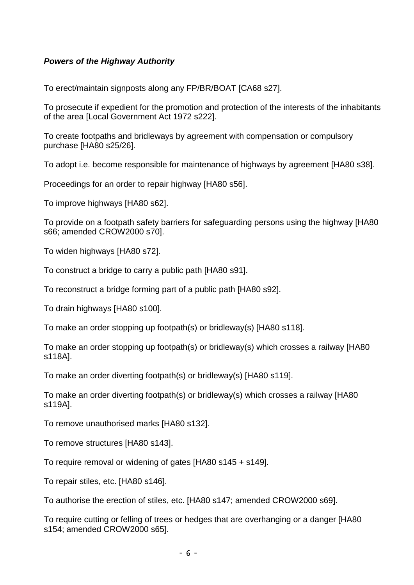#### *Powers of the Highway Authority*

To erect/maintain signposts along any FP/BR/BOAT [CA68 s27].

of the area [Local Government Act 1972 s222]. To prosecute if expedient for the promotion and protection of the interests of the inhabitants

purchase [HA80 s25/26]. To create footpaths and bridleways by agreement with compensation or compulsory

purchase [HA80 s25/26].<br>To adopt i.e. become responsible for maintenance of highways by agreement [HA80 s38].

Proceedings for an order to repair highway [HA80 s56].

To improve highways IHA80 s621.

s66; amended CROW2000 s70]. To provide on a footpath safety barriers for safeguarding persons using the highway [HA80

To widen highways [HA80 s72].

To construct a bridge to carry a public path IHA80 s911.

To reconstruct a bridge forming part of a public path [HA80 s92]. s66; amended CROW2000 s70].<br>To widen highways [HA80 s72].<br>To construct a bridge to carry a public path [HA80 s91].<br>To reconstruct a bridge forming part of a public path [HA80 s92].<br>To drain highways [HA80 s100].

To make an order stopping up footpath(s) or bridleway(s) [HA80 s118].

 To make an order stopping up footpath(s) or bridleway(s) which crosses a railway [HA80 s118Al.

s118A].<br>To make an order diverting footpath(s) or bridleway(s) [HA80 s119].

 To make an order diverting footpath(s) or bridleway(s) which crosses a railway [HA80 s119Al.

s119A].<br>To remove unauthorised marks [HA80 s132].<br>To remove structures [HA80 s143].

To require removal or widening of gates [HA80 s145 + s149].

To repair stiles, etc. [HA80 s146].

To repair stiles, etc. [HA80 s146].<br>To authorise the erection of stiles, etc. [HA80 s147; amended CROW2000 s69].

To require cutting or felling of trees or hedges that are overhanging or a danger [HA80 s154; amended CROW2000 s65].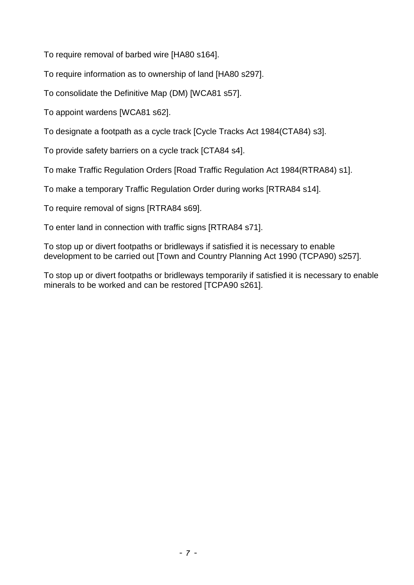To require removal of barbed wire [HA80 s164].

To require removal of barbed wire [HA80 s164].<br>To require information as to ownership of land [HA80 s297].

To consolidate the Definitive Map (DM) [WCA81 s57].<br>To appoint wardens [WCA81 s62].

To designate a footpath as a cycle track [Cycle Tracks Act 1984(CTA84) s3].

To provide safety barriers on a cycle track [CTA84 s4].

To make Traffic Regulation Orders [Road Traffic Regulation Act 1984(RTRA84) s1]. To designate a footpath as a cycle track [Cycle Tracks Act 1984(CTA84) s3].<br>To provide safety barriers on a cycle track [CTA84 s4].<br>To make Traffic Regulation Orders [Road Traffic Regulation Act 1984(RTRA84) s1].<br>To make a

To make a temporary Traffic Regulation Order during works [RTRA84 s14].

To require removal of signs [RTRA84 s69].

To enter land in connection with traffic signs [RTRA84 s71].

development to be carried out [Town and Country Planning Act 1990 (TCPA90) s257].

 minerals to be worked and can be restored [TCPA90 s261]. To stop up or divert footpaths or bridleways temporarily if satisfied it is necessary to enable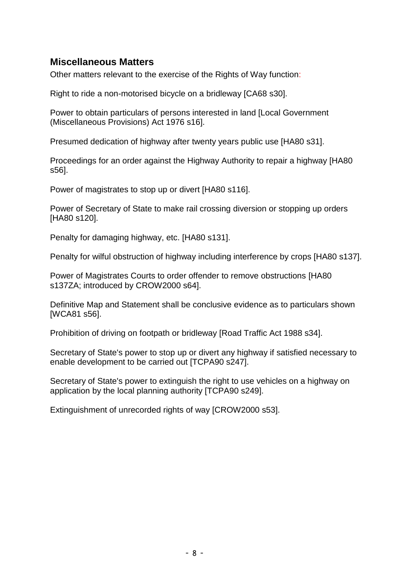# **Miscellaneous Matters**

Other matters relevant to the exercise of the Rights of Way function:

Right to ride a non-motorised bicycle on a bridleway [CA68 s30].

 (Miscellaneous Provisions) Act 1976 s16]. Power to obtain particulars of persons interested in land [Local Government

Presumed dedication of highway after twenty years public use [HA80 s31].

s56]. Proceedings for an order against the Highway Authority to repair a highway [HA80

Power of magistrates to stop up or divert [HA80 s116].

**IHA80 s1201.** Power of Secretary of State to make rail crossing diversion or stopping up orders

Penalty for damaging highway, etc. [HA80 s131].

[HA80 s120].<br>Penalty for damaging highway, etc. [HA80 s131].<br>Penalty for wilful obstruction of highway including interference by crops [HA80 s137].

Power of Magistrates Courts to order offender to remove obstructions [HA80 s137ZA; introduced by CROW2000 s64].

[WCA81 s56]. Definitive Map and Statement shall be conclusive evidence as to particulars shown

[WCA81 s56].<br>Prohibition of driving on footpath or bridleway [Road Traffic Act 1988 s34].

enable development to be carried out [TCPA90 s247]. Secretary of State's power to stop up or divert any highway if satisfied necessary to

application by the local planning authority [TCPA90 s249]. Secretary of State's power to extinguish the right to use vehicles on a highway on

Extinguishment of unrecorded rights of way [CROW2000 s53].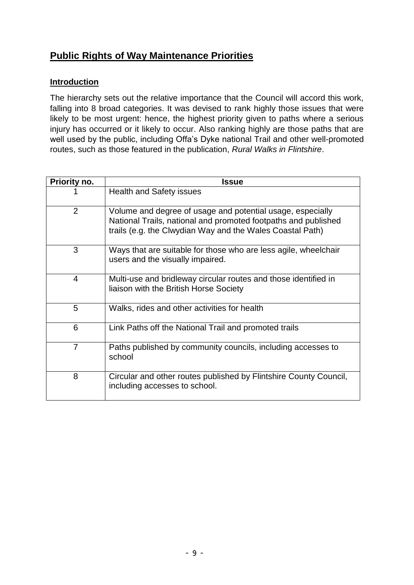# **Public Rights of Way Maintenance Priorities**

#### **Introduction**

 The hierarchy sets out the relative importance that the Council will accord this work, falling into 8 broad categories. It was devised to rank highly those issues that were likely to be most urgent: hence, the highest priority given to paths where a serious injury has occurred or it likely to occur. Also ranking highly are those paths that are well used by the public, including Offa's Dyke national Trail and other well-promoted routes, such as those featured in the publication, *Rural Walks in Flintshire*. **Public Rights of Way Maintenance Priorities**<br> **Introduction**<br>
The hierarchy sets out the relative importance that the<br>
falling into 8 broad categories. It was devised to rank l<br>
likely to be most urgent: hence, the highes

| Priority no.   | <b>Issue</b>                                                                                                                                                                              |
|----------------|-------------------------------------------------------------------------------------------------------------------------------------------------------------------------------------------|
|                | <b>Health and Safety issues</b>                                                                                                                                                           |
| 2              | Volume and degree of usage and potential usage, especially<br>National Trails, national and promoted footpaths and published<br>trails (e.g. the Clwydian Way and the Wales Coastal Path) |
| 3              | Ways that are suitable for those who are less agile, wheelchair<br>users and the visually impaired.                                                                                       |
| $\overline{4}$ | Multi-use and bridleway circular routes and those identified in<br>liaison with the British Horse Society                                                                                 |
| 5              | Walks, rides and other activities for health                                                                                                                                              |
| 6              | Link Paths off the National Trail and promoted trails                                                                                                                                     |
| 7              | Paths published by community councils, including accesses to<br>school                                                                                                                    |
| 8              | Circular and other routes published by Flintshire County Council,<br>including accesses to school.                                                                                        |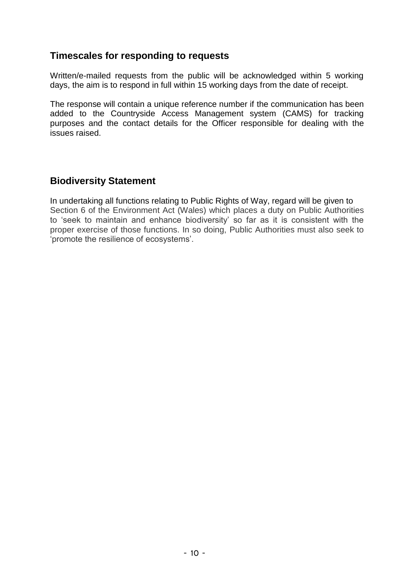# **Timescales for responding to requests**

 Written/e-mailed requests from the public will be acknowledged within 5 working days, the aim is to respond in full within 15 working days from the date of receipt.

 The response will contain a unique reference number if the communication has been added to the Countryside Access Management system (CAMS) for tracking purposes and the contact details for the Officer responsible for dealing with the issues raised. **Timescales for responding to requests**<br>Written/e-mailed requests from the public will t<br>days, the aim is to respond in full within 15 workir<br>The response will contain a unique reference nur<br>added to the Countryside Access

# **Biodiversity Statement**

In undertaking all functions relating to Public Rights of Way, regard will be given to In undertaking all functions relating to Public Rights of Way, regard will be given to<br>Section 6 of the Environment Act (Wales) which places a duty on Public Authorities to 'seek to maintain and enhance biodiversity' so far as it is consistent with the proper exercise of those functions. In so doing, Public Authorities must also seek to 'promote the resilience of ecosystems'.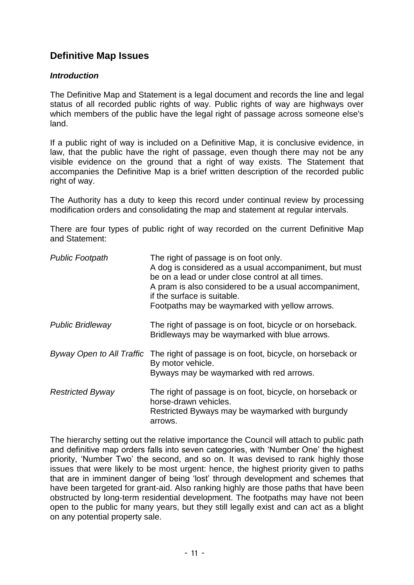# **Definitive Map Issues**

#### *Introduction*

| <b>Definitive Map Issues</b> |                                                                                                                                                                                                                                                                                                                                                                                                                                                    |
|------------------------------|----------------------------------------------------------------------------------------------------------------------------------------------------------------------------------------------------------------------------------------------------------------------------------------------------------------------------------------------------------------------------------------------------------------------------------------------------|
| <b>Introduction</b>          |                                                                                                                                                                                                                                                                                                                                                                                                                                                    |
| land.                        | The Definitive Map and Statement is a legal document and records the line and legal<br>status of all recorded public rights of way. Public rights of way are highways over<br>which members of the public have the legal right of passage across someone else's                                                                                                                                                                                    |
| right of way.                | If a public right of way is included on a Definitive Map, it is conclusive evidence, in<br>law, that the public have the right of passage, even though there may not be any<br>visible evidence on the ground that a right of way exists. The Statement that<br>accompanies the Definitive Map is a brief written description of the recorded public                                                                                               |
|                              | The Authority has a duty to keep this record under continual review by processing<br>modification orders and consolidating the map and statement at regular intervals.                                                                                                                                                                                                                                                                             |
| and Statement:               | There are four types of public right of way recorded on the current Definitive Map                                                                                                                                                                                                                                                                                                                                                                 |
| <b>Public Footpath</b>       | The right of passage is on foot only.<br>A dog is considered as a usual accompaniment, but must<br>be on a lead or under close control at all times.<br>A pram is also considered to be a usual accompaniment,<br>if the surface is suitable.<br>Footpaths may be waymarked with yellow arrows.                                                                                                                                                    |
| <b>Public Bridleway</b>      | The right of passage is on foot, bicycle or on horseback.<br>Bridleways may be waymarked with blue arrows.                                                                                                                                                                                                                                                                                                                                         |
|                              | Byway Open to All Traffic The right of passage is on foot, bicycle, on horseback or<br>By motor vehicle.<br>Byways may be waymarked with red arrows.                                                                                                                                                                                                                                                                                               |
| <b>Restricted Byway</b>      | The right of passage is on foot, bicycle, on horseback or<br>horse-drawn vehicles.<br>Restricted Byways may be waymarked with burgundy<br>arrows.                                                                                                                                                                                                                                                                                                  |
|                              | The hierarchy setting out the relative importance the Council will attach to public path<br>and definitive map orders falls into seven categories, with 'Number One' the highest<br>priority, 'Number Two' the second, and so on. It was devised to rank highly those<br>issues that were likely to be most urgent: hence, the highest priority given to paths<br>that are in imminent danger of being 'lost' through development and schemes that |

 and definitive map orders falls into seven categories, with 'Number One' the highest priority, 'Number Two' the second, and so on. It was devised to rank highly those issues that were likely to be most urgent: hence, the highest priority given to paths that are in imminent danger of being 'lost' through development and schemes that have been targeted for grant-aid. Also ranking highly are those paths that have been obstructed by long-term residential development. The footpaths may have not been open to the public for many years, but they still legally exist and can act as a blight The hierarchy setting out the relative importance the Council will attach to public path on any potential property sale.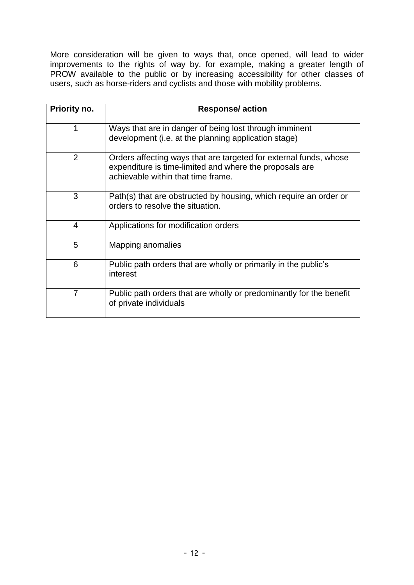More consideration will be given to ways that, once opened, will lead to wider improvements to the rights of way by, for example, making a greater length of PROW available to the public or by increasing accessibility for other classes of users, such as horse-riders and cyclists and those with mobility problems.

| Priority no.   | <b>Response/action</b>                                                                                                                                             |
|----------------|--------------------------------------------------------------------------------------------------------------------------------------------------------------------|
| 1              | Ways that are in danger of being lost through imminent<br>development (i.e. at the planning application stage)                                                     |
| $\overline{2}$ | Orders affecting ways that are targeted for external funds, whose<br>expenditure is time-limited and where the proposals are<br>achievable within that time frame. |
| 3              | Path(s) that are obstructed by housing, which require an order or<br>orders to resolve the situation.                                                              |
| $\overline{4}$ | Applications for modification orders                                                                                                                               |
| 5              | Mapping anomalies                                                                                                                                                  |
| 6              | Public path orders that are wholly or primarily in the public's<br>interest                                                                                        |
| $\overline{7}$ | Public path orders that are wholly or predominantly for the benefit<br>of private individuals                                                                      |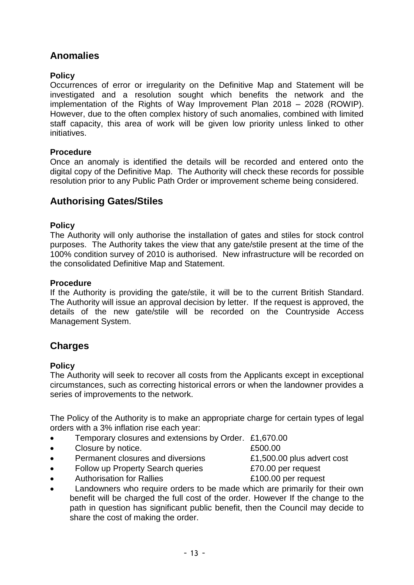# **Anomalies Policy**

 Occurrences of error or irregularity on the Definitive Map and Statement will be investigated and a resolution sought which benefits the network and the implementation of the Rights of Way Improvement Plan 2018 – 2028 (ROWIP). However, due to the often complex history of such anomalies, combined with limited staff capacity, this area of work will be given low priority unless linked to other initiatives.

#### **Procedure**

 Once an anomaly is identified the details will be recorded and entered onto the digital copy of the Definitive Map. The Authority will check these records for possible resolution prior to any Public Path Order or improvement scheme being considered.

# **Authorising Gates/Stiles**

#### **Policy**

 The Authority will only authorise the installation of gates and stiles for stock control purposes. The Authority takes the view that any gate/stile present at the time of the 100% condition survey of 2010 is authorised. New infrastructure will be recorded on the consolidated Definitive Map and Statement.

#### **Procedure**

 If the Authority is providing the gate/stile, it will be to the current British Standard. details of the new gate/stile will be recorded on the Countryside Access Management System. The Authority will issue an approval decision by letter. If the request is approved, the

# **Charges**

#### **Policy**

 The Authority will seek to recover all costs from the Applicants except in exceptional circumstances, such as correcting historical errors or when the landowner provides a series of improvements to the network.

 The Policy of the Authority is to make an appropriate charge for certain types of legal orders with a 3% inflation rise each year:

- **•** Temporary closures and extensions by Order. £1,670.00
- Closure by notice. **E500.00**
- Permanent closures and diversions **E1,500.00** plus advert cost
- Follow up Property Search queries **ETO.00** per request
- Authorisation for Rallies **E100.00 per request**
- Landowners who require orders to be made which are primarily for their own benefit will be charged the full cost of the order. However If the change to the path in question has significant public benefit, then the Council may decide to share the cost of making the order.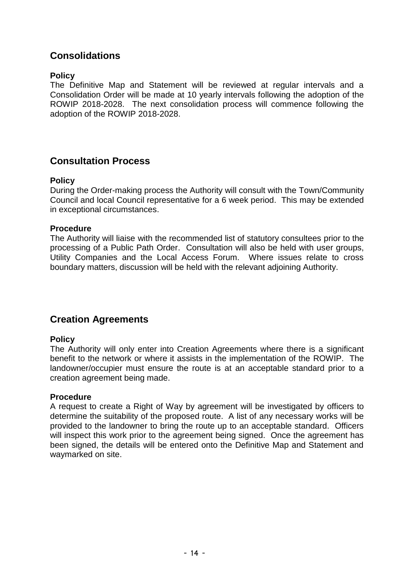# **Consolidations**

#### **Policy**

 The Definitive Map and Statement will be reviewed at regular intervals and a Consolidation Order will be made at 10 yearly intervals following the adoption of the ROWIP 2018-2028. The next consolidation process will commence following the adoption of the ROWIP 2018-2028.

# **Consultation Process**

#### **Policy**

 Council and local Council representative for a 6 week period. This may be extended During the Order-making process the Authority will consult with the Town/Community in exceptional circumstances.

#### **Procedure**

 The Authority will liaise with the recommended list of statutory consultees prior to the processing of a Public Path Order. Consultation will also be held with user groups, Utility Companies and the Local Access Forum. Where issues relate to cross boundary matters, discussion will be held with the relevant adjoining Authority.

# **Creation Agreements**

#### **Policy**

 The Authority will only enter into Creation Agreements where there is a significant benefit to the network or where it assists in the implementation of the ROWIP. The landowner/occupier must ensure the route is at an acceptable standard prior to a creation agreement being made.

#### **Procedure**

 A request to create a Right of Way by agreement will be investigated by officers to determine the suitability of the proposed route. A list of any necessary works will be provided to the landowner to bring the route up to an acceptable standard. Officers will inspect this work prior to the agreement being signed. Once the agreement has been signed, the details will be entered onto the Definitive Map and Statement and waymarked on site.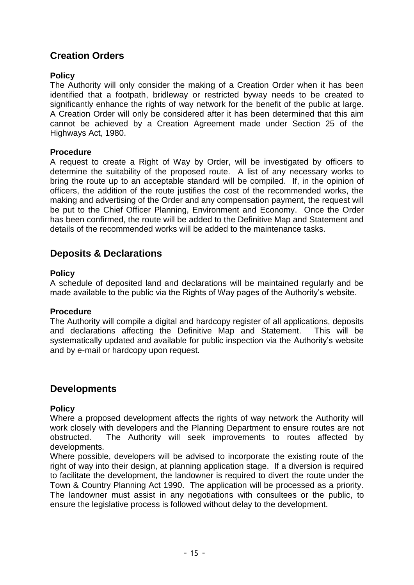# **Creation Orders**

#### **Policy**

 The Authority will only consider the making of a Creation Order when it has been identified that a footpath, bridleway or restricted byway needs to be created to significantly enhance the rights of way network for the benefit of the public at large. A Creation Order will only be considered after it has been determined that this aim cannot be achieved by a Creation Agreement made under Section 25 of the Highways Act, 1980.

#### **Procedure**

 A request to create a Right of Way by Order, will be investigated by officers to determine the suitability of the proposed route. A list of any necessary works to bring the route up to an acceptable standard will be compiled. If, in the opinion of officers, the addition of the route justifies the cost of the recommended works, the be put to the Chief Officer Planning, Environment and Economy. Once the Order details of the recommended works will be added to the maintenance tasks. **Creation Orders**<br> **Policy**<br>
The Authority will or<br>
identified that a foo<br>
significantly enhance<br>
A Creation Order wil<br>
cannot be achievec<br>
Highways Act, 1980.<br> **Procedure**<br>
A request to create<br>
determine the suitat<br>
bring making and advertising of the Order and any compensation payment, the request will has been confirmed, the route will be added to the Definitive Map and Statement and

# **Deposits & Declarations**

#### **Policy**

 A schedule of deposited land and declarations will be maintained regularly and be made available to the public via the Rights of Way pages of the Authority's website.

#### **Procedure**

 The Authority will compile a digital and hardcopy register of all applications, deposits and declarations affecting the Definitive Map and Statement. This will be systematically updated and available for public inspection via the Authority's website and by e-mail or hardcopy upon request.

# **Developments**

#### **Policy**

 Where a proposed development affects the rights of way network the Authority will work closely with developers and the Planning Department to ensure routes are not obstructed. The Authority will seek improvements to routes affected by developments.

 Where possible, developers will be advised to incorporate the existing route of the right of way into their design, at planning application stage. If a diversion is required to facilitate the development, the landowner is required to divert the route under the Town & Country Planning Act 1990. The application will be processed as a priority. The landowner must assist in any negotiations with consultees or the public, to ensure the legislative process is followed without delay to the development.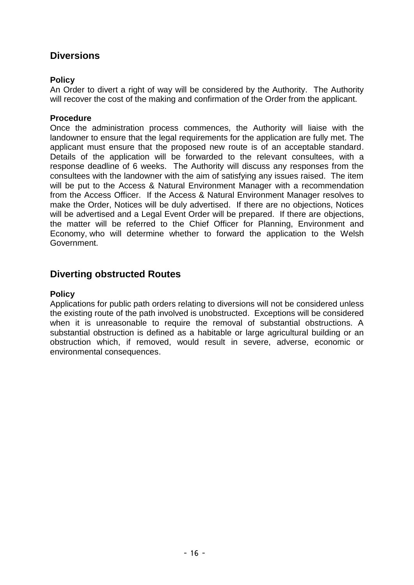# **Diversions**

#### **Policy**

 An Order to divert a right of way will be considered by the Authority. The Authority will recover the cost of the making and confirmation of the Order from the applicant.

#### **Procedure**

 Once the administration process commences, the Authority will liaise with the landowner to ensure that the legal requirements for the application are fully met. The applicant must ensure that the proposed new route is of an acceptable standard. Details of the application will be forwarded to the relevant consultees, with a response deadline of 6 weeks. The Authority will discuss any responses from the consultees with the landowner with the aim of satisfying any issues raised. The item will be put to the Access & Natural Environment Manager with a recommendation from the Access Officer. If the Access & Natural Environment Manager resolves to make the Order, Notices will be duly advertised. If there are no objections, Notices will be advertised and a Legal Event Order will be prepared. If there are objections, the matter will be referred to the Chief Officer for Planning, Environment and Economy, who will determine whether to forward the application to the Welsh Government.

# **Diverting obstructed Routes**

#### **Policy**

 when it is unreasonable to require the removal of substantial obstructions. A substantial obstruction is defined as a habitable or large agricultural building or an obstruction which, if removed, would result in severe, adverse, economic or Applications for public path orders relating to diversions will not be considered unless the existing route of the path involved is unobstructed. Exceptions will be considered environmental consequences.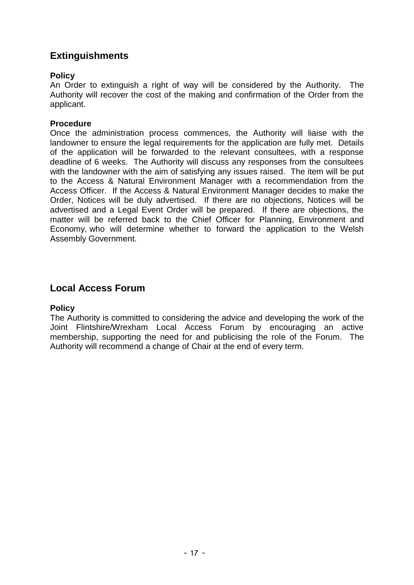# **Extinguishments**

#### **Policy**

 An Order to extinguish a right of way will be considered by the Authority. The Authority will recover the cost of the making and confirmation of the Order from the applicant.

#### **Procedure**

 Once the administration process commences, the Authority will liaise with the landowner to ensure the legal requirements for the application are fully met. Details of the application will be forwarded to the relevant consultees, with a response deadline of 6 weeks. The Authority will discuss any responses from the consultees with the landowner with the aim of satisfying any issues raised. The item will be put to the Access & Natural Environment Manager with a recommendation from the Access Officer. If the Access & Natural Environment Manager decides to make the Order, Notices will be duly advertised. If there are no objections, Notices will be advertised and a Legal Event Order will be prepared. If there are objections, the matter will be referred back to the Chief Officer for Planning, Environment and Economy, who will determine whether to forward the application to the Welsh Assembly Government.

# **Local Access Forum**

#### **Policy**

 The Authority is committed to considering the advice and developing the work of the Joint Flintshire/Wrexham Local Access Forum by encouraging an active membership, supporting the need for and publicising the role of the Forum. The Authority will recommend a change of Chair at the end of every term.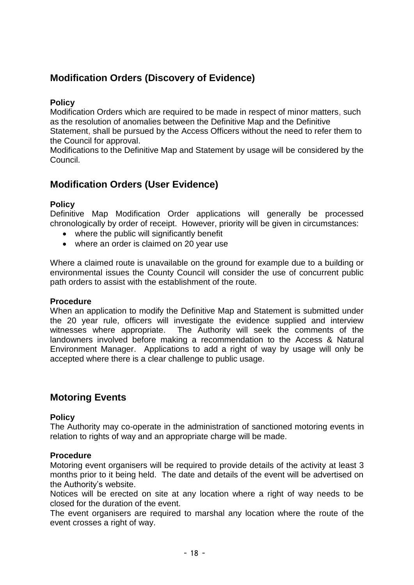# **Modification Orders (Discovery of Evidence)**

#### **Policy**

 Modification Orders which are required to be made in respect of minor matters, such as the resolution of anomalies between the Definitive Map and the Definitive the Council for approval. Statement, shall be pursued by the Access Officers without the need to refer them to

 Modifications to the Definitive Map and Statement by usage will be considered by the Council.

# **Modification Orders (User Evidence)**

#### **Policy**

 Definitive Map Modification Order applications will generally be processed chronologically by order of receipt. However, priority will be given in circumstances:

- where the public will significantly benefit
- where an order is claimed on 20 year use

 where an order is claimed on 20 year use Where a claimed route is unavailable on the ground for example due to a building or environmental issues the County Council will consider the use of concurrent public path orders to assist with the establishment of the route.

#### **Procedure**

 When an application to modify the Definitive Map and Statement is submitted under the 20 year rule, officers will investigate the evidence supplied and interview witnesses where appropriate. The Authority will seek the comments of the landowners involved before making a recommendation to the Access & Natural Environment Manager. Applications to add a right of way by usage will only be accepted where there is a clear challenge to public usage.

# **Motoring Events**

#### **Policy**

 The Authority may co-operate in the administration of sanctioned motoring events in relation to rights of way and an appropriate charge will be made.

#### **Procedure**

 Motoring event organisers will be required to provide details of the activity at least 3 months prior to it being held. The date and details of the event will be advertised on the Authority's website.

 Notices will be erected on site at any location where a right of way needs to be closed for the duration of the event.

 The event organisers are required to marshal any location where the route of the event crosses a right of way.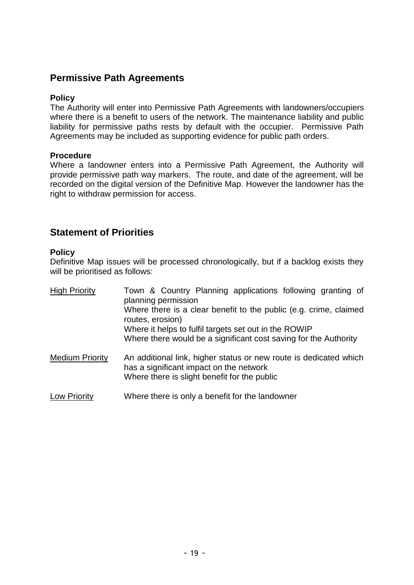# **Permissive Path Agreements**

#### **Policy**

 The Authority will enter into Permissive Path Agreements with landowners/occupiers where there is a benefit to users of the network. The maintenance liability and public liability for permissive paths rests by default with the occupier. Permissive Path Agreements may be included as supporting evidence for public path orders.

#### **Procedure**

 Where a landowner enters into a Permissive Path Agreement, the Authority will provide permissive path way markers. The route, and date of the agreement, will be recorded on the digital version of the Definitive Map. However the landowner has the right to withdraw permission for access.

# **Statement of Priorities**

#### **Policy**

 Definitive Map issues will be processed chronologically, but if a backlog exists they will be prioritised as follows:

| <b>High Priority</b>   | Town & Country Planning applications following granting of<br>planning permission                                                                            |
|------------------------|--------------------------------------------------------------------------------------------------------------------------------------------------------------|
|                        | Where there is a clear benefit to the public (e.g. crime, claimed<br>routes, erosion)                                                                        |
|                        | Where it helps to fulfil targets set out in the ROWIP                                                                                                        |
|                        | Where there would be a significant cost saving for the Authority                                                                                             |
| <b>Medium Priority</b> | An additional link, higher status or new route is dedicated which<br>has a significant impact on the network<br>Where there is slight benefit for the public |
| <b>Low Priority</b>    | Where there is only a benefit for the landowner                                                                                                              |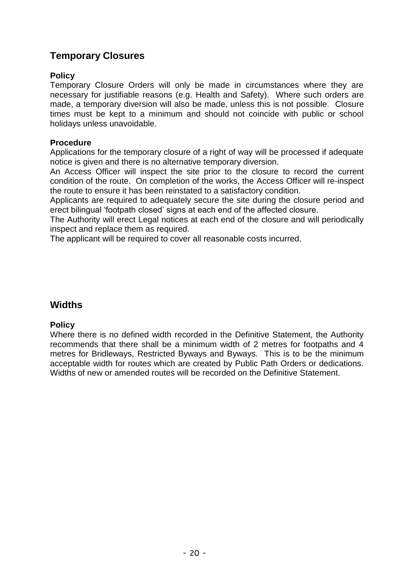# **Temporary Closures**

#### **Policy**

 Temporary Closure Orders will only be made in circumstances where they are necessary for justifiable reasons (e.g. Health and Safety). Where such orders are made, a temporary diversion will also be made, unless this is not possible. Closure times must be kept to a minimum and should not coincide with public or school  holidays unless unavoidable.

#### **Procedure**

 Applications for the temporary closure of a right of way will be processed if adequate notice is given and there is no alternative temporary diversion.

 An Access Officer will inspect the site prior to the closure to record the current condition of the route. On completion of the works, the Access Officer will re-inspect the route to ensure it has been reinstated to a satisfactory condition.

 Applicants are required to adequately secure the site during the closure period and erect bilingual 'footpath closed' signs at each end of the affected closure.

 The Authority will erect Legal notices at each end of the closure and will periodically inspect and replace them as required.

The applicant will be required to cover all reasonable costs incurred.

# **Widths**

#### **Policy**

 Where there is no defined width recorded in the Definitive Statement, the Authority recommends that there shall be a minimum width of 2 metres for footpaths and 4 metres for Bridleways, Restricted Byways and Byways. This is to be the minimum acceptable width for routes which are created by Public Path Orders or dedications. Widths of new or amended routes will be recorded on the Definitive Statement.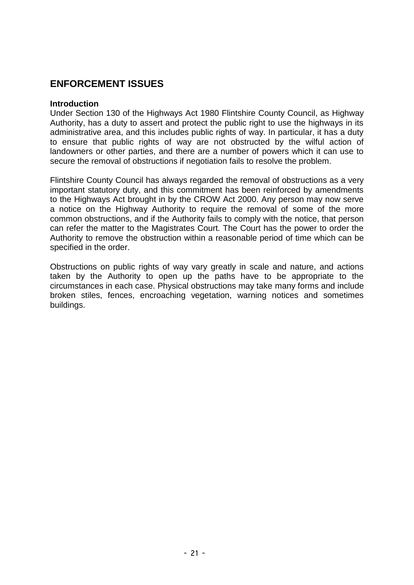# **ENFORCEMENT ISSUES**

#### **Introduction**

 Under Section 130 of the Highways Act 1980 Flintshire County Council, as Highway Authority, has a duty to assert and protect the public right to use the highways in its administrative area, and this includes public rights of way. In particular, it has a duty to ensure that public rights of way are not obstructed by the wilful action of landowners or other parties, and there are a number of powers which it can use to secure the removal of obstructions if negotiation fails to resolve the problem.

 Flintshire County Council has always regarded the removal of obstructions as a very important statutory duty, and this commitment has been reinforced by amendments to the Highways Act brought in by the CROW Act 2000. Any person may now serve a notice on the Highway Authority to require the removal of some of the more common obstructions, and if the Authority fails to comply with the notice, that person can refer the matter to the Magistrates Court. The Court has the power to order the Authority to remove the obstruction within a reasonable period of time which can be specified in the order.

 Obstructions on public rights of way vary greatly in scale and nature, and actions taken by the Authority to open up the paths have to be appropriate to the circumstances in each case. Physical obstructions may take many forms and include broken stiles, fences, encroaching vegetation, warning notices and sometimes buildings.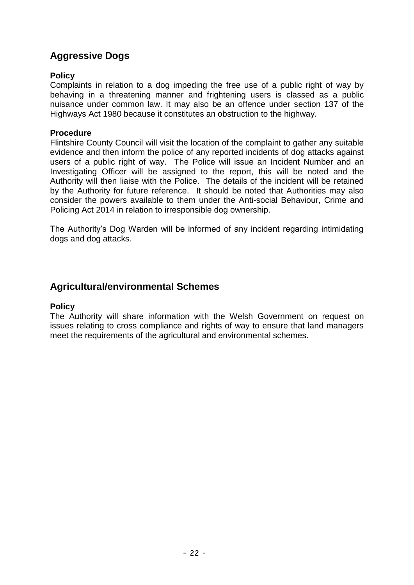#### **Policy**

 Complaints in relation to a dog impeding the free use of a public right of way by behaving in a threatening manner and frightening users is classed as a public nuisance under common law. It may also be an offence under section 137 of the Highways Act 1980 because it constitutes an obstruction to the highway.

#### **Procedure**

 Flintshire County Council will visit the location of the complaint to gather any suitable evidence and then inform the police of any reported incidents of dog attacks against users of a public right of way. The Police will issue an Incident Number and an Investigating Officer will be assigned to the report, this will be noted and the Authority will then liaise with the Police. The details of the incident will be retained by the Authority for future reference. It should be noted that Authorities may also consider the powers available to them under the Anti-social Behaviour, Crime and **Aggressive Dogs**<br> **Policy**<br>
Complaints in relation<br>
behaving in a threate<br>
muisance under comm<br>
Highways Act 1980 be<br> **Procedure**<br>
Flintshire County Courevidence and then inferences<br>
Investigating Officer<br>
Authority will Policing Act 2014 in relation to irresponsible dog ownership.

 The Authority's Dog Warden will be informed of any incident regarding intimidating dogs and dog attacks.

# **Agricultural/environmental Schemes**

#### **Policy**

 The Authority will share information with the Welsh Government on request on issues relating to cross compliance and rights of way to ensure that land managers meet the requirements of the agricultural and environmental schemes.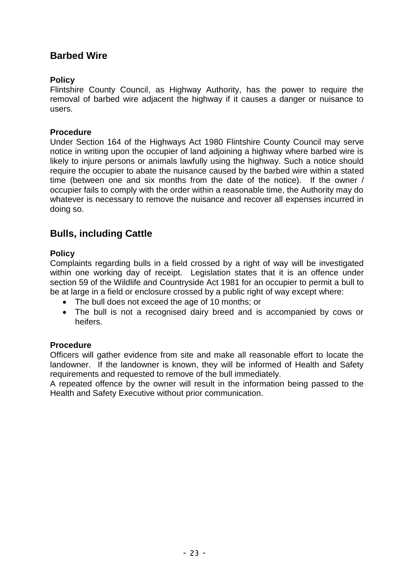# **Barbed Wire Policy**

 Flintshire County Council, as Highway Authority, has the power to require the removal of barbed wire adjacent the highway if it causes a danger or nuisance to users.

#### **Procedure**

 Under Section 164 of the Highways Act 1980 Flintshire County Council may serve notice in writing upon the occupier of land adjoining a highway where barbed wire is likely to injure persons or animals lawfully using the highway. Such a notice should require the occupier to abate the nuisance caused by the barbed wire within a stated time (between one and six months from the date of the notice). If the owner / whatever is necessary to remove the nuisance and recover all expenses incurred in doing so. occupier fails to comply with the order within a reasonable time, the Authority may do

# **Bulls, including Cattle**

#### **Policy**

 Complaints regarding bulls in a field crossed by a right of way will be investigated within one working day of receipt. Legislation states that it is an offence under section 59 of the Wildlife and Countryside Act 1981 for an occupier to permit a bull to be at large in a field or enclosure crossed by a public right of way except where:

- The bull does not exceed the age of 10 months; or
- The bull is not a recognised dairy breed and is accompanied by cows or heifers.

#### **Procedure**

 Officers will gather evidence from site and make all reasonable effort to locate the landowner. If the landowner is known, they will be informed of Health and Safety requirements and requested to remove of the bull immediately.

 A repeated offence by the owner will result in the information being passed to the Health and Safety Executive without prior communication.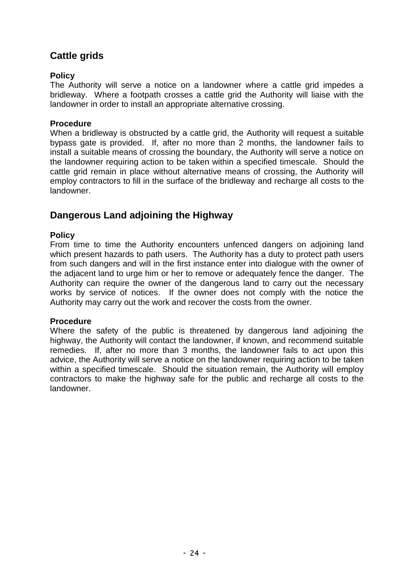# **Cattle grids**

#### **Policy**

 The Authority will serve a notice on a landowner where a cattle grid impedes a bridleway. Where a footpath crosses a cattle grid the Authority will liaise with the landowner in order to install an appropriate alternative crossing.

#### **Procedure**

 When a bridleway is obstructed by a cattle grid, the Authority will request a suitable bypass gate is provided. If, after no more than 2 months, the landowner fails to install a suitable means of crossing the boundary, the Authority will serve a notice on the landowner requiring action to be taken within a specified timescale. Should the cattle grid remain in place without alternative means of crossing, the Authority will employ contractors to fill in the surface of the bridleway and recharge all costs to the landowner.

# **Dangerous Land adjoining the Highway**

#### **Policy**

 From time to time the Authority encounters unfenced dangers on adjoining land which present hazards to path users. The Authority has a duty to protect path users from such dangers and will in the first instance enter into dialogue with the owner of the adjacent land to urge him or her to remove or adequately fence the danger. The Authority can require the owner of the dangerous land to carry out the necessary works by service of notices. If the owner does not comply with the notice the Authority may carry out the work and recover the costs from the owner.

#### **Procedure**

 Where the safety of the public is threatened by dangerous land adjoining the highway, the Authority will contact the landowner, if known, and recommend suitable remedies. If, after no more than 3 months, the landowner fails to act upon this advice, the Authority will serve a notice on the landowner requiring action to be taken within a specified timescale. Should the situation remain, the Authority will employ contractors to make the highway safe for the public and recharge all costs to the landowner.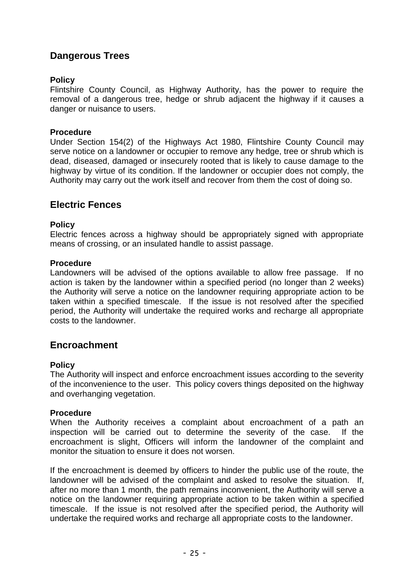# **Dangerous Trees**

#### **Policy**

 Flintshire County Council, as Highway Authority, has the power to require the removal of a dangerous tree, hedge or shrub adjacent the highway if it causes a danger or nuisance to users.

#### **Procedure**

 Under Section 154(2) of the Highways Act 1980, Flintshire County Council may serve notice on a landowner or occupier to remove any hedge, tree or shrub which is dead, diseased, damaged or insecurely rooted that is likely to cause damage to the highway by virtue of its condition. If the landowner or occupier does not comply, the Authority may carry out the work itself and recover from them the cost of doing so.

#### **Electric Fences**

#### **Policy**

 Electric fences across a highway should be appropriately signed with appropriate means of crossing, or an insulated handle to assist passage.

#### **Procedure**

 Landowners will be advised of the options available to allow free passage. If no action is taken by the landowner within a specified period (no longer than 2 weeks) the Authority will serve a notice on the landowner requiring appropriate action to be taken within a specified timescale. If the issue is not resolved after the specified period, the Authority will undertake the required works and recharge all appropriate costs to the landowner.

#### **Encroachment**

#### **Policy**

 The Authority will inspect and enforce encroachment issues according to the severity of the inconvenience to the user. This policy covers things deposited on the highway and overhanging vegetation.

#### **Procedure**

 When the Authority receives a complaint about encroachment of a path an inspection will be carried out to determine the severity of the case. If the encroachment is slight, Officers will inform the landowner of the complaint and monitor the situation to ensure it does not worsen.

 If the encroachment is deemed by officers to hinder the public use of the route, the landowner will be advised of the complaint and asked to resolve the situation. If, after no more than 1 month, the path remains inconvenient, the Authority will serve a notice on the landowner requiring appropriate action to be taken within a specified timescale. If the issue is not resolved after the specified period, the Authority will undertake the required works and recharge all appropriate costs to the landowner.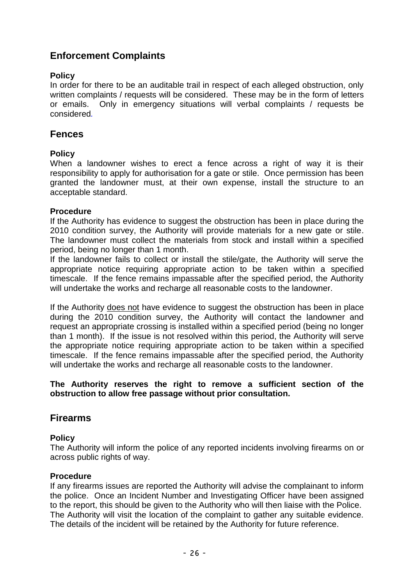# **Enforcement Complaints**

#### **Policy**

 In order for there to be an auditable trail in respect of each alleged obstruction, only written complaints / requests will be considered. These may be in the form of letters or emails. Only in emergency situations will verbal complaints / requests be considered*.* 

# **Fences**

#### **Policy**

 When a landowner wishes to erect a fence across a right of way it is their responsibility to apply for authorisation for a gate or stile. Once permission has been granted the landowner must, at their own expense, install the structure to an acceptable standard.

#### **Procedure**

 If the Authority has evidence to suggest the obstruction has been in place during the 2010 condition survey, the Authority will provide materials for a new gate or stile. The landowner must collect the materials from stock and install within a specified period, being no longer than 1 month.

 If the landowner fails to collect or install the stile/gate, the Authority will serve the appropriate notice requiring appropriate action to be taken within a specified timescale. If the fence remains impassable after the specified period, the Authority will undertake the works and recharge all reasonable costs to the landowner.

If the Authority does not have evidence to suggest the obstruction has been in place during the 2010 condition survey, the Authority will contact the landowner and request an appropriate crossing is installed within a specified period (being no longer than 1 month). If the issue is not resolved within this period, the Authority will serve the appropriate notice requiring appropriate action to be taken within a specified timescale. If the fence remains impassable after the specified period, the Authority will undertake the works and recharge all reasonable costs to the landowner.

#### **The Authority reserves the right to remove a sufficient section of the obstruction to allow free passage without prior consultation.**

#### **Firearms**

#### **Policy**

 The Authority will inform the police of any reported incidents involving firearms on or across public rights of way.

#### **Procedure**

 If any firearms issues are reported the Authority will advise the complainant to inform the police. Once an Incident Number and Investigating Officer have been assigned The Authority will visit the location of the complaint to gather any suitable evidence. to the report, this should be given to the Authority who will then liaise with the Police. The details of the incident will be retained by the Authority for future reference.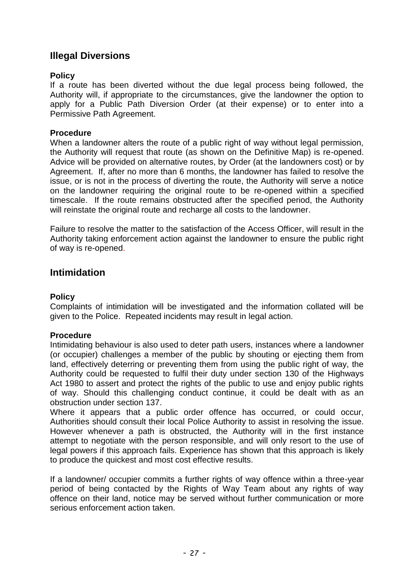# **Illegal Diversions**

#### **Policy**

 If a route has been diverted without the due legal process being followed, the Authority will, if appropriate to the circumstances, give the landowner the option to apply for a Public Path Diversion Order (at their expense) or to enter into a Permissive Path Agreement.

#### **Procedure**

 When a landowner alters the route of a public right of way without legal permission, the Authority will request that route (as shown on the Definitive Map) is re-opened. Advice will be provided on alternative routes, by Order (at the landowners cost) or by Agreement. If, after no more than 6 months, the landowner has failed to resolve the issue, or is not in the process of diverting the route, the Authority will serve a notice on the landowner requiring the original route to be re-opened within a specified timescale. If the route remains obstructed after the specified period, the Authority will reinstate the original route and recharge all costs to the landowner.

 Failure to resolve the matter to the satisfaction of the Access Officer, will result in the Authority taking enforcement action against the landowner to ensure the public right of way is re-opened.

# **Intimidation**

#### **Policy**

 Complaints of intimidation will be investigated and the information collated will be given to the Police. Repeated incidents may result in legal action.

#### **Procedure**

 Intimidating behaviour is also used to deter path users, instances where a landowner (or occupier) challenges a member of the public by shouting or ejecting them from land, effectively deterring or preventing them from using the public right of way, the Authority could be requested to fulfil their duty under section 130 of the Highways Act 1980 to assert and protect the rights of the public to use and enjoy public rights of way. Should this challenging conduct continue, it could be dealt with as an obstruction under section 137.

 Authorities should consult their local Police Authority to assist in resolving the issue. However whenever a path is obstructed, the Authority will in the first instance attempt to negotiate with the person responsible, and will only resort to the use of legal powers if this approach fails. Experience has shown that this approach is likely Where it appears that a public order offence has occurred, or could occur, to produce the quickest and most cost effective results.

 If a landowner/ occupier commits a further rights of way offence within a three-year period of being contacted by the Rights of Way Team about any rights of way offence on their land, notice may be served without further communication or more serious enforcement action taken.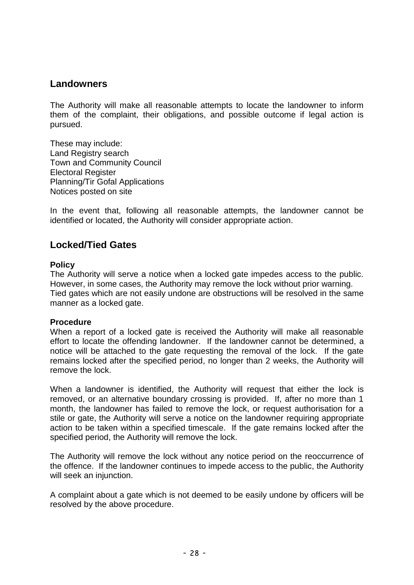## **Landowners**

 The Authority will make all reasonable attempts to locate the landowner to inform them of the complaint, their obligations, and possible outcome if legal action is pursued.

 Town and Community Council These may include: Land Registry search Electoral Register Planning/Tir Gofal Applications Notices posted on site

 In the event that, following all reasonable attempts, the landowner cannot be identified or located, the Authority will consider appropriate action.

# **Locked/Tied Gates**

#### **Policy**

 The Authority will serve a notice when a locked gate impedes access to the public. Tied gates which are not easily undone are obstructions will be resolved in the same However, in some cases, the Authority may remove the lock without prior warning. manner as a locked gate.

#### **Procedure**

 When a report of a locked gate is received the Authority will make all reasonable effort to locate the offending landowner. If the landowner cannot be determined, a notice will be attached to the gate requesting the removal of the lock. If the gate remains locked after the specified period, no longer than 2 weeks, the Authority will remove the lock.

remove the lock.<br>When a landowner is identified, the Authority will request that either the lock is removed, or an alternative boundary crossing is provided. If, after no more than 1 month, the landowner has failed to remove the lock, or request authorisation for a stile or gate, the Authority will serve a notice on the landowner requiring appropriate action to be taken within a specified timescale. If the gate remains locked after the specified period, the Authority will remove the lock.

 The Authority will remove the lock without any notice period on the reoccurrence of the offence. If the landowner continues to impede access to the public, the Authority will seek an injunction.

 A complaint about a gate which is not deemed to be easily undone by officers will be resolved by the above procedure.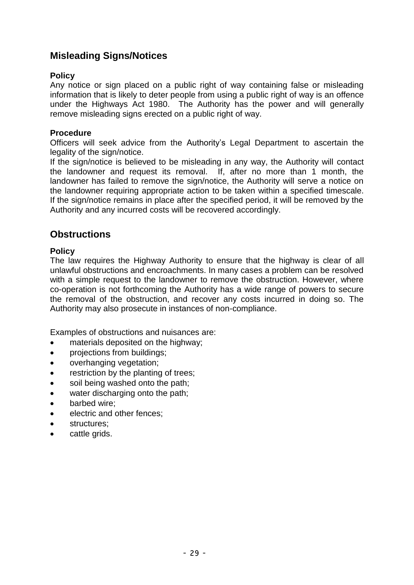# **Misleading Signs/Notices**

#### **Policy**

 Any notice or sign placed on a public right of way containing false or misleading information that is likely to deter people from using a public right of way is an offence under the Highways Act 1980. The Authority has the power and will generally remove misleading signs erected on a public right of way.

#### **Procedure**

 Officers will seek advice from the Authority's Legal Department to ascertain the legality of the sign/notice.

 If the sign/notice is believed to be misleading in any way, the Authority will contact the landowner and request its removal. If, after no more than 1 month, the landowner has failed to remove the sign/notice, the Authority will serve a notice on the landowner requiring appropriate action to be taken within a specified timescale. If the sign/notice remains in place after the specified period, it will be removed by the Authority and any incurred costs will be recovered accordingly.

# **Obstructions**

#### **Policy**

 The law requires the Highway Authority to ensure that the highway is clear of all unlawful obstructions and encroachments. In many cases a problem can be resolved with a simple request to the landowner to remove the obstruction. However, where co-operation is not forthcoming the Authority has a wide range of powers to secure the removal of the obstruction, and recover any costs incurred in doing so. The Authority may also prosecute in instances of non-compliance.

Examples of obstructions and nuisances are:

- materials deposited on the highway;
- **projections from buildings:**
- overhanging vegetation;
- restriction by the planting of trees;
- soil being washed onto the path;
- water discharging onto the path;
- barbed wire:
- electric and other fences;
- structures:
- cattle grids.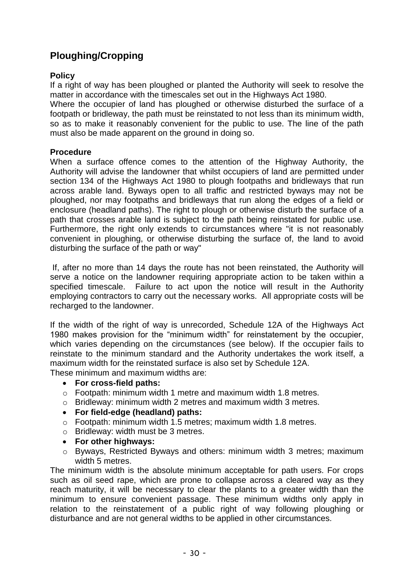#### **Policy**

 If a right of way has been ploughed or planted the Authority will seek to resolve the matter in accordance with the timescales set out in the Highways Act 1980.

 Where the occupier of land has ploughed or otherwise disturbed the surface of a so as to make it reasonably convenient for the public to use. The line of the path must also be made apparent on the ground in doing so. footpath or bridleway, the path must be reinstated to not less than its minimum width,

#### **Procedure**

 When a surface offence comes to the attention of the Highway Authority, the Authority will advise the landowner that whilst occupiers of land are permitted under section 134 of the Highways Act 1980 to plough footpaths and bridleways that run across arable land. Byways open to all traffic and restricted byways may not be ploughed, nor may footpaths and bridleways that run along the edges of a field or enclosure (headland paths). The right to plough or otherwise disturb the surface of a path that crosses arable land is subject to the path being reinstated for public use. Furthermore, the right only extends to circumstances where "it is not reasonably convenient in ploughing, or otherwise disturbing the surface of, the land to avoid **Ploughing/Cropping**<br> **Policy**<br>
If a right of way has been<br>
matter in accordance with<br>
Where the occupier of la<br>
footpath or bridleway, the<br>
so as to make it reasona<br>
must also be made appare<br> **Procedure**<br>
When a surface o disturbing the surface of the path or way"

 If, after no more than 14 days the route has not been reinstated, the Authority will serve a notice on the landowner requiring appropriate action to be taken within a specified timescale. Failure to act upon the notice will result in the Authority employing contractors to carry out the necessary works. All appropriate costs will be recharged to the landowner.

 If the width of the right of way is unrecorded, Schedule 12A of the Highways Act 1980 makes provision for the "minimum width" for reinstatement by the occupier, which varies depending on the circumstances (see below). If the occupier fails to reinstate to the minimum standard and the Authority undertakes the work itself, a maximum width for the reinstated surface is also set by Schedule 12A. These minimum and maximum widths are:

**For cross-field paths:** 

- o Footpath: minimum width 1 metre and maximum width 1.8 metres.
- o Bridleway: minimum width 2 metres and maximum width 3 metres.
- **For field-edge (headland) paths:**
- o Footpath: minimum width 1.5 metres; maximum width 1.8 metres.
- o Bridleway: width must be 3 metres.
- **For other highways:**
- o Byways, Restricted Byways and others: minimum width 3 metres; maximum width 5 metres.

 The minimum width is the absolute minimum acceptable for path users. For crops such as oil seed rape, which are prone to collapse across a cleared way as they reach maturity, it will be necessary to clear the plants to a greater width than the minimum to ensure convenient passage. These minimum widths only apply in relation to the reinstatement of a public right of way following ploughing or disturbance and are not general widths to be applied in other circumstances.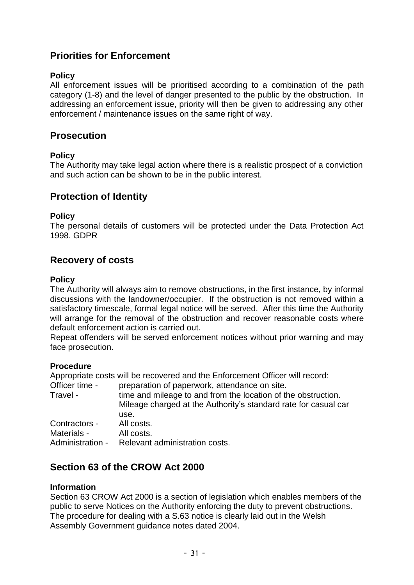# **Priorities for Enforcement**

#### **Policy**

 All enforcement issues will be prioritised according to a combination of the path category (1-8) and the level of danger presented to the public by the obstruction. In addressing an enforcement issue, priority will then be given to addressing any other enforcement / maintenance issues on the same right of way.

## **Prosecution**

#### **Policy**

The Authority may take legal action where there is a realistic prospect of a conviction and such action can be shown to be in the public interest.

# **Protection of Identity**

#### **Policy**

 The personal details of customers will be protected under the Data Protection Act 1998. GDPR

# **Recovery of costs**

#### **Policy**

 The Authority will always aim to remove obstructions, in the first instance, by informal discussions with the landowner/occupier. If the obstruction is not removed within a satisfactory timescale, formal legal notice will be served. After this time the Authority will arrange for the removal of the obstruction and recover reasonable costs where default enforcement action is carried out.

 Repeat offenders will be served enforcement notices without prior warning and may face prosecution.

#### **Procedure**

Appropriate costs will be recovered and the Enforcement Officer will record:

Officer time -Travel - time and mileage to and from the location of the obstruction. Mileage charged at the Authority's standard rate for casual car Contractors - All costs. Administration - Relevant administration costs. preparation of paperwork, attendance on site. use. Materials - All costs

# **Section 63 of the CROW Act 2000**

#### **Information**

public to serve Notices on the Authority enforcing the duty to prevent obstructions. public to serve Notices on the Authority enforcing the duty to prevent obstructions.<br>The procedure for dealing with a S.63 notice is clearly laid out in the Welsh Assembly Government guidance notes dated 2004. Section 63 CROW Act 2000 is a section of legislation which enables members of the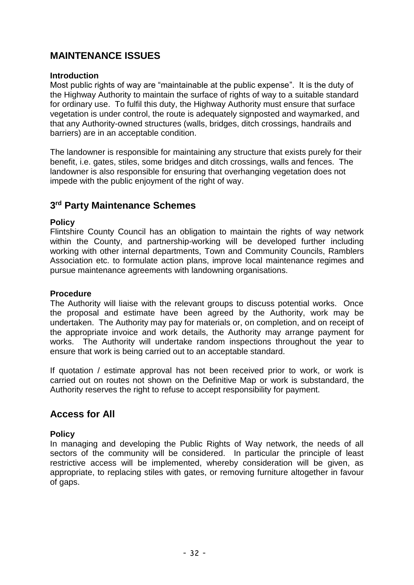# **MAINTENANCE ISSUES**

#### **Introduction**

 the Highway Authority to maintain the surface of rights of way to a suitable standard for ordinary use. To fulfil this duty, the Highway Authority must ensure that surface Most public rights of way are "maintainable at the public expense". It is the duty of vegetation is under control, the route is adequately signposted and waymarked, and that any Authority-owned structures (walls, bridges, ditch crossings, handrails and barriers) are in an acceptable condition.

The landowner is responsible for maintaining any structure that exists purely for their benefit, i.e. gates, stiles, some bridges and ditch crossings, walls and fences. The landowner is also responsible for ensuring that overhanging vegetation does not impede with the public enjoyment of the right of way.

## **3rd Party Maintenance Schemes**

#### **Policy**

 Flintshire County Council has an obligation to maintain the rights of way network within the County, and partnership-working will be developed further including working with other internal departments, Town and Community Councils, Ramblers Association etc. to formulate action plans, improve local maintenance regimes and pursue maintenance agreements with landowning organisations.

#### **Procedure**

 The Authority will liaise with the relevant groups to discuss potential works. Once the proposal and estimate have been agreed by the Authority, work may be undertaken. The Authority may pay for materials or, on completion, and on receipt of the appropriate invoice and work details, the Authority may arrange payment for works. The Authority will undertake random inspections throughout the year to ensure that work is being carried out to an acceptable standard.

 If quotation / estimate approval has not been received prior to work, or work is carried out on routes not shown on the Definitive Map or work is substandard, the Authority reserves the right to refuse to accept responsibility for payment.

# **Access for All**

#### **Policy**

 In managing and developing the Public Rights of Way network, the needs of all sectors of the community will be considered. In particular the principle of least restrictive access will be implemented, whereby consideration will be given, as appropriate, to replacing stiles with gates, or removing furniture altogether in favour of gaps.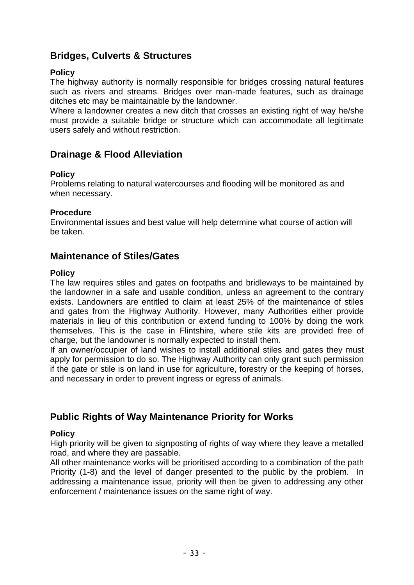# **Bridges, Culverts & Structures**

#### **Policy**

 The highway authority is normally responsible for bridges crossing natural features such as rivers and streams. Bridges over man-made features, such as drainage ditches etc may be maintainable by the landowner.

 Where a landowner creates a new ditch that crosses an existing right of way he/she must provide a suitable bridge or structure which can accommodate all legitimate users safely and without restriction.

# **Drainage & Flood Alleviation**

#### **Policy**

 Problems relating to natural watercourses and flooding will be monitored as and when necessary.

#### **Procedure**

 Environmental issues and best value will help determine what course of action will be taken.

# **Maintenance of Stiles/Gates**

#### **Policy**

 The law requires stiles and gates on footpaths and bridleways to be maintained by the landowner in a safe and usable condition, unless an agreement to the contrary exists. Landowners are entitled to claim at least 25% of the maintenance of stiles and gates from the Highway Authority. However, many Authorities either provide materials in lieu of this contribution or extend funding to 100% by doing the work themselves. This is the case in Flintshire, where stile kits are provided free of charge, but the landowner is normally expected to install them.

 If an owner/occupier of land wishes to install additional stiles and gates they must apply for permission to do so. The Highway Authority can only grant such permission if the gate or stile is on land in use for agriculture, forestry or the keeping of horses, and necessary in order to prevent ingress or egress of animals.

# **Public Rights of Way Maintenance Priority for Works**

#### **Policy**

 High priority will be given to signposting of rights of way where they leave a metalled road, and where they are passable.

 All other maintenance works will be prioritised according to a combination of the path Priority (1-8) and the level of danger presented to the public by the problem. In addressing a maintenance issue, priority will then be given to addressing any other enforcement / maintenance issues on the same right of way.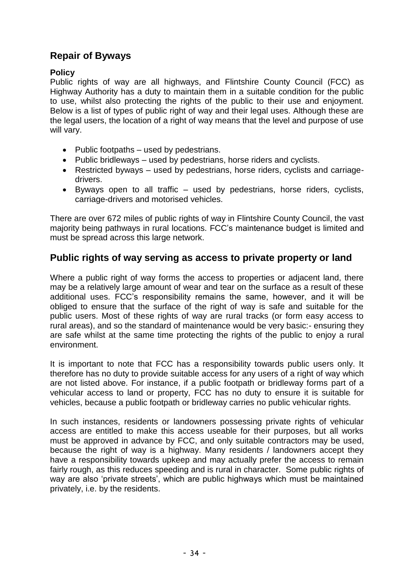# **Repair of Byways**

## **Policy**

 Public rights of way are all highways, and Flintshire County Council (FCC) as Highway Authority has a duty to maintain them in a suitable condition for the public to use, whilst also protecting the rights of the public to their use and enjoyment. Below is a list of types of public right of way and their legal uses. Although these are the legal users, the location of a right of way means that the level and purpose of use will vary.

- Public footpaths used by pedestrians.
- Public bridleways used by pedestrians, horse riders and cyclists.
- Restricted byways used by pedestrians, horse riders, cyclists and carriagedrivers.
- Byways open to all traffic used by pedestrians, horse riders, cyclists, carriage-drivers and motorised vehicles.

 There are over 672 miles of public rights of way in Flintshire County Council, the vast majority being pathways in rural locations. FCC's maintenance budget is limited and must be spread across this large network.

# **Public rights of way serving as access to private property or land**

 Where a public right of way forms the access to properties or adjacent land, there may be a relatively large amount of wear and tear on the surface as a result of these obliged to ensure that the surface of the right of way is safe and suitable for the public users. Most of these rights of way are rural tracks (or form easy access to are safe whilst at the same time protecting the rights of the public to enjoy a rural additional uses. FCC's responsibility remains the same, however, and it will be rural areas), and so the standard of maintenance would be very basic:- ensuring they environment.

 It is important to note that FCC has a responsibility towards public users only. It therefore has no duty to provide suitable access for any users of a right of way which are not listed above. For instance, if a public footpath or bridleway forms part of a vehicular access to land or property, FCC has no duty to ensure it is suitable for vehicles, because a public footpath or bridleway carries no public vehicular rights.

 In such instances, residents or landowners possessing private rights of vehicular access are entitled to make this access useable for their purposes, but all works must be approved in advance by FCC, and only suitable contractors may be used, because the right of way is a highway. Many residents / landowners accept they have a responsibility towards upkeep and may actually prefer the access to remain fairly rough, as this reduces speeding and is rural in character. Some public rights of way are also 'private streets', which are public highways which must be maintained privately, i.e. by the residents.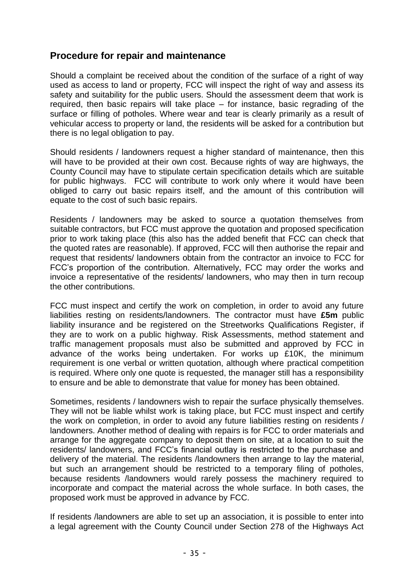# **Procedure for repair and maintenance**

 Should a complaint be received about the condition of the surface of a right of way used as access to land or property, FCC will inspect the right of way and assess its safety and suitability for the public users. Should the assessment deem that work is required, then basic repairs will take place – for instance, basic regrading of the surface or filling of potholes. Where wear and tear is clearly primarily as a result of vehicular access to property or land, the residents will be asked for a contribution but there is no legal obligation to pay.

 Should residents / landowners request a higher standard of maintenance, then this will have to be provided at their own cost. Because rights of way are highways, the County Council may have to stipulate certain specification details which are suitable for public highways. FCC will contribute to work only where it would have been obliged to carry out basic repairs itself, and the amount of this contribution will equate to the cost of such basic repairs.

 Residents / landowners may be asked to source a quotation themselves from suitable contractors, but FCC must approve the quotation and proposed specification prior to work taking place (this also has the added benefit that FCC can check that the quoted rates are reasonable). If approved, FCC will then authorise the repair and request that residents/ landowners obtain from the contractor an invoice to FCC for FCC's proportion of the contribution. Alternatively, FCC may order the works and invoice a representative of the residents/ landowners, who may then in turn recoup the other contributions.

 FCC must inspect and certify the work on completion, in order to avoid any future liabilities resting on residents/landowners. The contractor must have **£5m** public liability insurance and be registered on the Streetworks Qualifications Register, if they are to work on a public highway. Risk Assessments, method statement and traffic management proposals must also be submitted and approved by FCC in advance of the works being undertaken. For works up £10K, the minimum is required. Where only one quote is requested, the manager still has a responsibility of the contribution. Alternatively, FCC may<br>
ntative of the residents/ landowners, who may<br>
tions.<br>
tt and certify the work on completion, in orde<br>
on residents/landowners. The contractor mu<br>
and be registered on the Stree requirement is one verbal or written quotation, although where practical competition to ensure and be able to demonstrate that value for money has been obtained.

 Sometimes, residents / landowners wish to repair the surface physically themselves. They will not be liable whilst work is taking place, but FCC must inspect and certify the work on completion, in order to avoid any future liabilities resting on residents / landowners. Another method of dealing with repairs is for FCC to order materials and arrange for the aggregate company to deposit them on site, at a location to suit the residents/ landowners, and FCC's financial outlay is restricted to the purchase and delivery of the material. The residents /landowners then arrange to lay the material, but such an arrangement should be restricted to a temporary filing of potholes, because residents /landowners would rarely possess the machinery required to incorporate and compact the material across the whole surface. In both cases, the proposed work must be approved in advance by FCC.

 If residents /landowners are able to set up an association, it is possible to enter into a legal agreement with the County Council under Section 278 of the Highways Act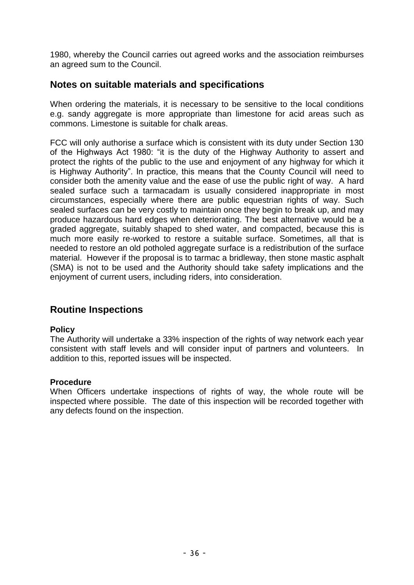1980, whereby the Council carries out agreed works and the association reimburses an agreed sum to the Council.

# **Notes on suitable materials and specifications**

 When ordering the materials, it is necessary to be sensitive to the local conditions e.g. sandy aggregate is more appropriate than limestone for acid areas such as 1980, whereby the Council carries out agreed works and the association reimburses<br>an agreed sum to the Council.<br>**Notes on suitable materials and specifications**<br>When ordering the materials, it is necessary to be sensitive commons. Limestone is suitable for chalk areas.

 FCC will only authorise a surface which is consistent with its duty under Section 130 of the Highways Act 1980: "it is the duty of the Highway Authority to assert and protect the rights of the public to the use and enjoyment of any highway for which it is Highway Authority". In practice, this means that the County Council will need to consider both the amenity value and the ease of use the public right of way. A hard sealed surface such a tarmacadam is usually considered inappropriate in most circumstances, especially where there are public equestrian rights of way. Such sealed surfaces can be very costly to maintain once they begin to break up, and may produce hazardous hard edges when deteriorating. The best alternative would be a graded aggregate, suitably shaped to shed water, and compacted, because this is much more easily re-worked to restore a suitable surface. Sometimes, all that is needed to restore an old potholed aggregate surface is a redistribution of the surface material. However if the proposal is to tarmac a bridleway, then stone mastic asphalt (SMA) is not to be used and the Authority should take safety implications and the enjoyment of current users, including riders, into consideration.

# **Routine Inspections**

#### **Policy**

 The Authority will undertake a 33% inspection of the rights of way network each year consistent with staff levels and will consider input of partners and volunteers. In addition to this, reported issues will be inspected.

#### **Procedure**

 When Officers undertake inspections of rights of way, the whole route will be inspected where possible. The date of this inspection will be recorded together with any defects found on the inspection.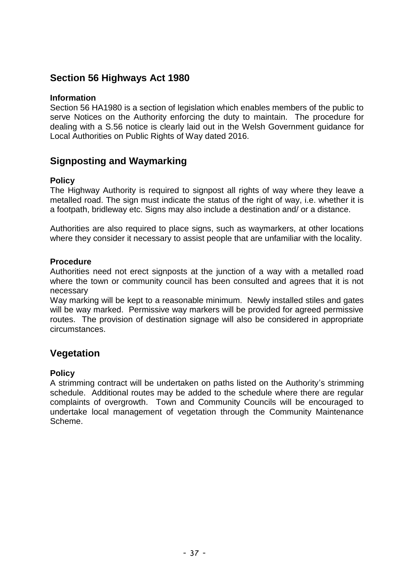# **Section 56 Highways Act 1980**

#### **Information**

 Section 56 HA1980 is a section of legislation which enables members of the public to serve Notices on the Authority enforcing the duty to maintain. The procedure for dealing with a S.56 notice is clearly laid out in the Welsh Government guidance for Local Authorities on Public Rights of Way dated 2016.

# **Signposting and Waymarking**

#### **Policy**

 The Highway Authority is required to signpost all rights of way where they leave a metalled road. The sign must indicate the status of the right of way, i.e. whether it is a footpath, bridleway etc. Signs may also include a destination and/ or a distance.

 Authorities are also required to place signs, such as waymarkers, at other locations where they consider it necessary to assist people that are unfamiliar with the locality.

#### **Procedure**

 Authorities need not erect signposts at the junction of a way with a metalled road where the town or community council has been consulted and agrees that it is not necessary

 Way marking will be kept to a reasonable minimum. Newly installed stiles and gates will be way marked. Permissive way markers will be provided for agreed permissive routes. The provision of destination signage will also be considered in appropriate circumstances.

# **Vegetation**

#### **Policy**

 A strimming contract will be undertaken on paths listed on the Authority's strimming schedule. Additional routes may be added to the schedule where there are regular complaints of overgrowth. Town and Community Councils will be encouraged to undertake local management of vegetation through the Community Maintenance Scheme.